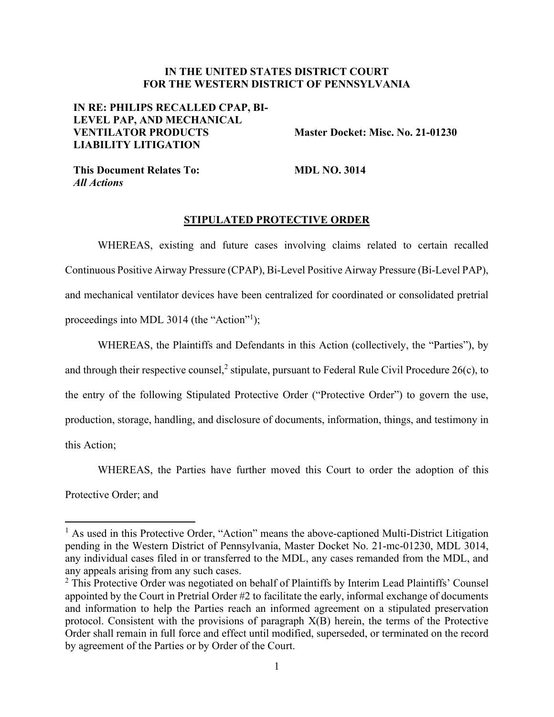# **IN THE UNITED STATES DISTRICT COURT FOR THE WESTERN DISTRICT OF PENNSYLVANIA**

# **IN RE: PHILIPS RECALLED CPAP, BI-LEVEL PAP, AND MECHANICAL VENTILATOR PRODUCTS LIABILITY LITIGATION**

**Master Docket: Misc. No. 21-01230** 

**This Document Relates To:**  *All Actions* 

**MDL NO. 3014** 

### **STIPULATED PROTECTIVE ORDER**

WHEREAS, existing and future cases involving claims related to certain recalled Continuous Positive Airway Pressure (CPAP), Bi-Level Positive Airway Pressure (Bi-Level PAP), and mechanical ventilator devices have been centralized for coordinated or consolidated pretrial proceedings into MDL 3014 (the "Action"<sup>1</sup>);

WHEREAS, the Plaintiffs and Defendants in this Action (collectively, the "Parties"), by and through their respective counsel,<sup>2</sup> stipulate, pursuant to Federal Rule Civil Procedure 26(c), to the entry of the following Stipulated Protective Order ("Protective Order") to govern the use, production, storage, handling, and disclosure of documents, information, things, and testimony in this Action;

WHEREAS, the Parties have further moved this Court to order the adoption of this

Protective Order; and

<sup>&</sup>lt;sup>1</sup> As used in this Protective Order, "Action" means the above-captioned Multi-District Litigation pending in the Western District of Pennsylvania, Master Docket No. 21-mc-01230, MDL 3014, any individual cases filed in or transferred to the MDL, any cases remanded from the MDL, and any appeals arising from any such cases.

<sup>&</sup>lt;sup>2</sup> This Protective Order was negotiated on behalf of Plaintiffs by Interim Lead Plaintiffs' Counsel appointed by the Court in Pretrial Order #2 to facilitate the early, informal exchange of documents and information to help the Parties reach an informed agreement on a stipulated preservation protocol. Consistent with the provisions of paragraph X(B) herein, the terms of the Protective Order shall remain in full force and effect until modified, superseded, or terminated on the record by agreement of the Parties or by Order of the Court.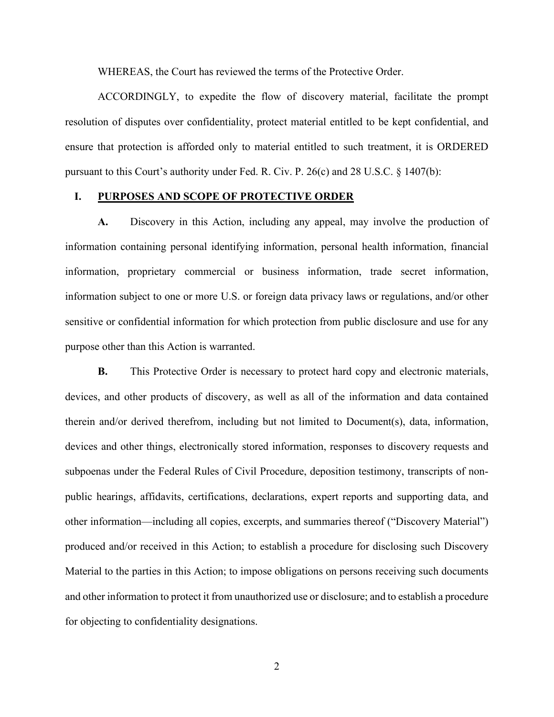WHEREAS, the Court has reviewed the terms of the Protective Order.

ACCORDINGLY, to expedite the flow of discovery material, facilitate the prompt resolution of disputes over confidentiality, protect material entitled to be kept confidential, and ensure that protection is afforded only to material entitled to such treatment, it is ORDERED pursuant to this Court's authority under Fed. R. Civ. P.  $26(c)$  and  $28 \text{ U.S.C. } \S 1407(\text{b})$ :

# **I. PURPOSES AND SCOPE OF PROTECTIVE ORDER**

**A.** Discovery in this Action, including any appeal, may involve the production of information containing personal identifying information, personal health information, financial information, proprietary commercial or business information, trade secret information, information subject to one or more U.S. or foreign data privacy laws or regulations, and/or other sensitive or confidential information for which protection from public disclosure and use for any purpose other than this Action is warranted.

**B.** This Protective Order is necessary to protect hard copy and electronic materials, devices, and other products of discovery, as well as all of the information and data contained therein and/or derived therefrom, including but not limited to Document(s), data, information, devices and other things, electronically stored information, responses to discovery requests and subpoenas under the Federal Rules of Civil Procedure, deposition testimony, transcripts of nonpublic hearings, affidavits, certifications, declarations, expert reports and supporting data, and other information—including all copies, excerpts, and summaries thereof ("Discovery Material") produced and/or received in this Action; to establish a procedure for disclosing such Discovery Material to the parties in this Action; to impose obligations on persons receiving such documents and other information to protect it from unauthorized use or disclosure; and to establish a procedure for objecting to confidentiality designations.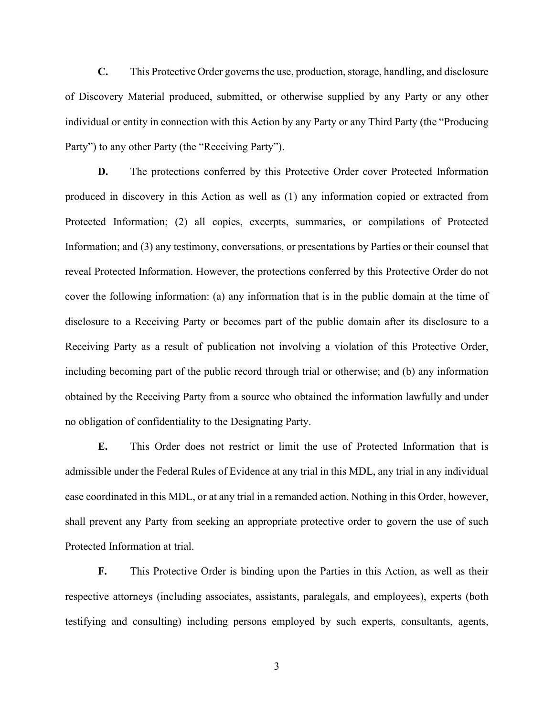**C.** This Protective Order governs the use, production, storage, handling, and disclosure of Discovery Material produced, submitted, or otherwise supplied by any Party or any other individual or entity in connection with this Action by any Party or any Third Party (the "Producing Party") to any other Party (the "Receiving Party").

**D.** The protections conferred by this Protective Order cover Protected Information produced in discovery in this Action as well as (1) any information copied or extracted from Protected Information; (2) all copies, excerpts, summaries, or compilations of Protected Information; and (3) any testimony, conversations, or presentations by Parties or their counsel that reveal Protected Information. However, the protections conferred by this Protective Order do not cover the following information: (a) any information that is in the public domain at the time of disclosure to a Receiving Party or becomes part of the public domain after its disclosure to a Receiving Party as a result of publication not involving a violation of this Protective Order, including becoming part of the public record through trial or otherwise; and (b) any information obtained by the Receiving Party from a source who obtained the information lawfully and under no obligation of confidentiality to the Designating Party.

**E.** This Order does not restrict or limit the use of Protected Information that is admissible under the Federal Rules of Evidence at any trial in this MDL, any trial in any individual case coordinated in this MDL, or at any trial in a remanded action. Nothing in this Order, however, shall prevent any Party from seeking an appropriate protective order to govern the use of such Protected Information at trial.

**F.** This Protective Order is binding upon the Parties in this Action, as well as their respective attorneys (including associates, assistants, paralegals, and employees), experts (both testifying and consulting) including persons employed by such experts, consultants, agents,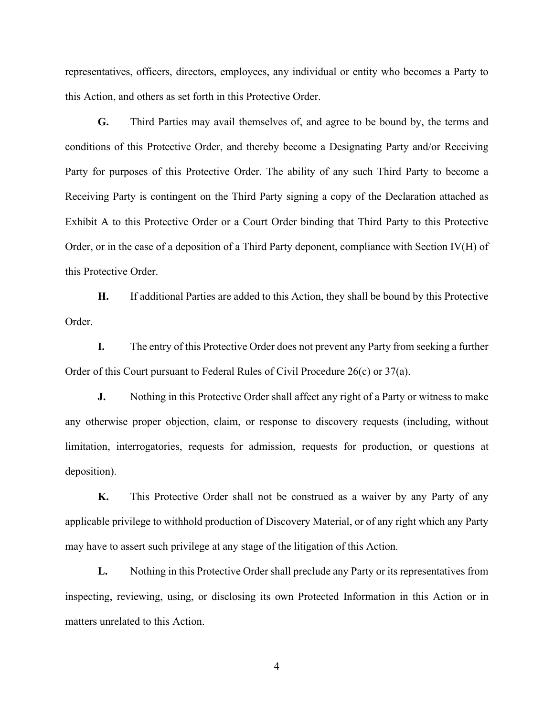representatives, officers, directors, employees, any individual or entity who becomes a Party to this Action, and others as set forth in this Protective Order.

**G.** Third Parties may avail themselves of, and agree to be bound by, the terms and conditions of this Protective Order, and thereby become a Designating Party and/or Receiving Party for purposes of this Protective Order. The ability of any such Third Party to become a Receiving Party is contingent on the Third Party signing a copy of the Declaration attached as Exhibit A to this Protective Order or a Court Order binding that Third Party to this Protective Order, or in the case of a deposition of a Third Party deponent, compliance with Section IV(H) of this Protective Order.

**H.** If additional Parties are added to this Action, they shall be bound by this Protective Order.

**I.** The entry of this Protective Order does not prevent any Party from seeking a further Order of this Court pursuant to Federal Rules of Civil Procedure 26(c) or 37(a).

**J.** Nothing in this Protective Order shall affect any right of a Party or witness to make any otherwise proper objection, claim, or response to discovery requests (including, without limitation, interrogatories, requests for admission, requests for production, or questions at deposition).

**K.** This Protective Order shall not be construed as a waiver by any Party of any applicable privilege to withhold production of Discovery Material, or of any right which any Party may have to assert such privilege at any stage of the litigation of this Action.

**L.** Nothing in this Protective Order shall preclude any Party or its representatives from inspecting, reviewing, using, or disclosing its own Protected Information in this Action or in matters unrelated to this Action.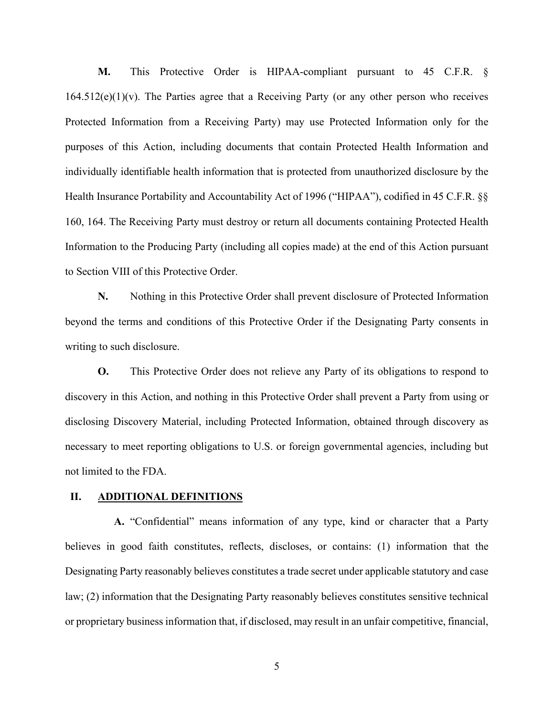**M.** This Protective Order is HIPAA-compliant pursuant to 45 C.F.R. §  $164.512(e)(1)(v)$ . The Parties agree that a Receiving Party (or any other person who receives Protected Information from a Receiving Party) may use Protected Information only for the purposes of this Action, including documents that contain Protected Health Information and individually identifiable health information that is protected from unauthorized disclosure by the Health Insurance Portability and Accountability Act of 1996 ("HIPAA"), codified in 45 C.F.R. §§ 160, 164. The Receiving Party must destroy or return all documents containing Protected Health Information to the Producing Party (including all copies made) at the end of this Action pursuant to Section VIII of this Protective Order.

**N.** Nothing in this Protective Order shall prevent disclosure of Protected Information beyond the terms and conditions of this Protective Order if the Designating Party consents in writing to such disclosure.

**O.** This Protective Order does not relieve any Party of its obligations to respond to discovery in this Action, and nothing in this Protective Order shall prevent a Party from using or disclosing Discovery Material, including Protected Information, obtained through discovery as necessary to meet reporting obligations to U.S. or foreign governmental agencies, including but not limited to the FDA.

# **II. ADDITIONAL DEFINITIONS**

**A.** "Confidential" means information of any type, kind or character that a Party believes in good faith constitutes, reflects, discloses, or contains: (1) information that the Designating Party reasonably believes constitutes a trade secret under applicable statutory and case law; (2) information that the Designating Party reasonably believes constitutes sensitive technical or proprietary business information that, if disclosed, may result in an unfair competitive, financial,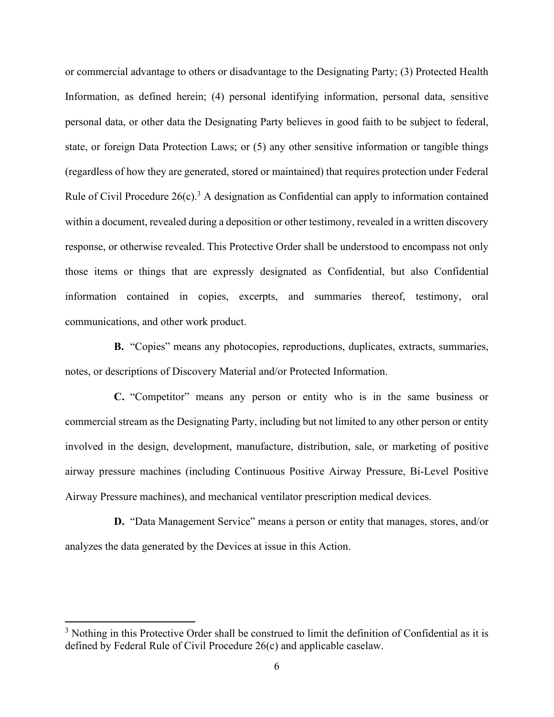or commercial advantage to others or disadvantage to the Designating Party; (3) Protected Health Information, as defined herein; (4) personal identifying information, personal data, sensitive personal data, or other data the Designating Party believes in good faith to be subject to federal, state, or foreign Data Protection Laws; or (5) any other sensitive information or tangible things (regardless of how they are generated, stored or maintained) that requires protection under Federal Rule of Civil Procedure  $26(c)$ .<sup>3</sup> A designation as Confidential can apply to information contained within a document, revealed during a deposition or other testimony, revealed in a written discovery response, or otherwise revealed. This Protective Order shall be understood to encompass not only those items or things that are expressly designated as Confidential, but also Confidential information contained in copies, excerpts, and summaries thereof, testimony, oral communications, and other work product.

**B.** "Copies" means any photocopies, reproductions, duplicates, extracts, summaries, notes, or descriptions of Discovery Material and/or Protected Information.

**C.** "Competitor" means any person or entity who is in the same business or commercial stream as the Designating Party, including but not limited to any other person or entity involved in the design, development, manufacture, distribution, sale, or marketing of positive airway pressure machines (including Continuous Positive Airway Pressure, Bi-Level Positive Airway Pressure machines), and mechanical ventilator prescription medical devices.

**D.** "Data Management Service" means a person or entity that manages, stores, and/or analyzes the data generated by the Devices at issue in this Action.

<sup>&</sup>lt;sup>3</sup> Nothing in this Protective Order shall be construed to limit the definition of Confidential as it is defined by Federal Rule of Civil Procedure 26(c) and applicable caselaw.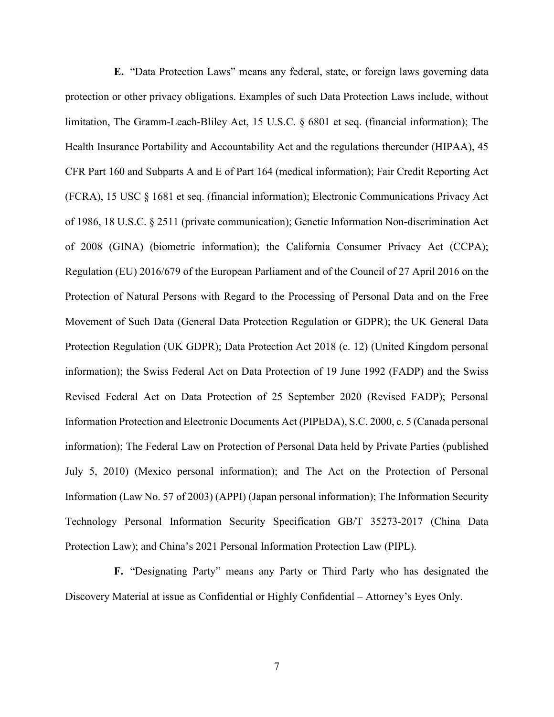**E.** "Data Protection Laws" means any federal, state, or foreign laws governing data protection or other privacy obligations. Examples of such Data Protection Laws include, without limitation, The Gramm-Leach-Bliley Act, 15 U.S.C. § 6801 et seq. (financial information); The Health Insurance Portability and Accountability Act and the regulations thereunder (HIPAA), 45 CFR Part 160 and Subparts A and E of Part 164 (medical information); Fair Credit Reporting Act (FCRA), 15 USC § 1681 et seq. (financial information); Electronic Communications Privacy Act of 1986, 18 U.S.C. § 2511 (private communication); Genetic Information Non-discrimination Act of 2008 (GINA) (biometric information); the California Consumer Privacy Act (CCPA); Regulation (EU) 2016/679 of the European Parliament and of the Council of 27 April 2016 on the Protection of Natural Persons with Regard to the Processing of Personal Data and on the Free Movement of Such Data (General Data Protection Regulation or GDPR); the UK General Data Protection Regulation (UK GDPR); Data Protection Act 2018 (c. 12) (United Kingdom personal information); the Swiss Federal Act on Data Protection of 19 June 1992 (FADP) and the Swiss Revised Federal Act on Data Protection of 25 September 2020 (Revised FADP); Personal Information Protection and Electronic Documents Act (PIPEDA), S.C. 2000, c. 5 (Canada personal information); The Federal Law on Protection of Personal Data held by Private Parties (published July 5, 2010) (Mexico personal information); and The Act on the Protection of Personal Information (Law No. 57 of 2003) (APPI) (Japan personal information); The Information Security Technology Personal Information Security Specification GB/T 35273-2017 (China Data Protection Law); and China's 2021 Personal Information Protection Law (PIPL).

**F.** "Designating Party" means any Party or Third Party who has designated the Discovery Material at issue as Confidential or Highly Confidential – Attorney's Eyes Only.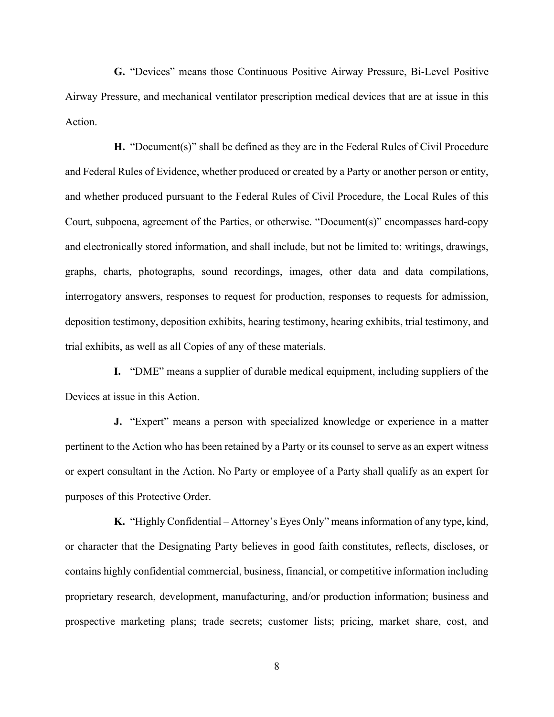**G.** "Devices" means those Continuous Positive Airway Pressure, Bi-Level Positive Airway Pressure, and mechanical ventilator prescription medical devices that are at issue in this Action.

**H.** "Document(s)" shall be defined as they are in the Federal Rules of Civil Procedure and Federal Rules of Evidence, whether produced or created by a Party or another person or entity, and whether produced pursuant to the Federal Rules of Civil Procedure, the Local Rules of this Court, subpoena, agreement of the Parties, or otherwise. "Document(s)" encompasses hard-copy and electronically stored information, and shall include, but not be limited to: writings, drawings, graphs, charts, photographs, sound recordings, images, other data and data compilations, interrogatory answers, responses to request for production, responses to requests for admission, deposition testimony, deposition exhibits, hearing testimony, hearing exhibits, trial testimony, and trial exhibits, as well as all Copies of any of these materials.

**I.** "DME" means a supplier of durable medical equipment, including suppliers of the Devices at issue in this Action.

**J.** "Expert" means a person with specialized knowledge or experience in a matter pertinent to the Action who has been retained by a Party or its counsel to serve as an expert witness or expert consultant in the Action. No Party or employee of a Party shall qualify as an expert for purposes of this Protective Order.

**K.** "Highly Confidential – Attorney's Eyes Only" means information of any type, kind, or character that the Designating Party believes in good faith constitutes, reflects, discloses, or contains highly confidential commercial, business, financial, or competitive information including proprietary research, development, manufacturing, and/or production information; business and prospective marketing plans; trade secrets; customer lists; pricing, market share, cost, and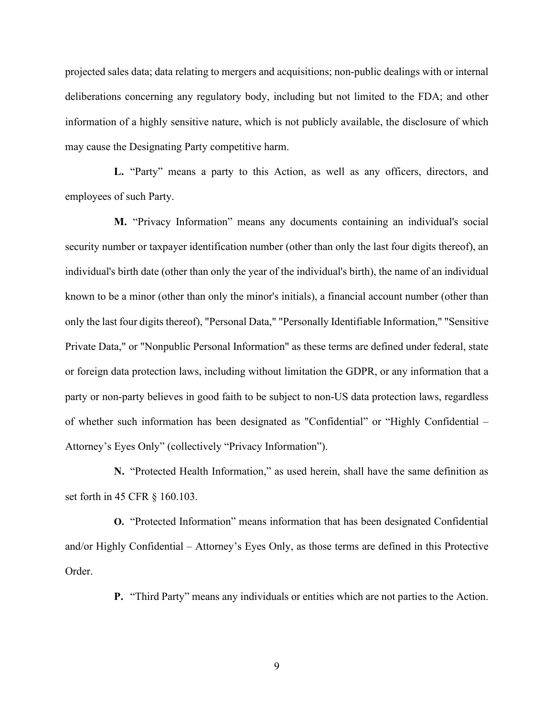projected sales data; data relating to mergers and acquisitions; non-public dealings with or internal deliberations concerning any regulatory body, including but not limited to the FDA; and other information of a highly sensitive nature, which is not publicly available, the disclosure of which may cause the Designating Party competitive harm.

**L.** "Party" means a party to this Action, as well as any officers, directors, and employees of such Party.

**M.** "Privacy Information" means any documents containing an individual's social security number or taxpayer identification number (other than only the last four digits thereof), an individual's birth date (other than only the year of the individual's birth), the name of an individual known to be a minor (other than only the minor's initials), a financial account number (other than only the last four digits thereof), "Personal Data," "Personally Identifiable Information," "Sensitive Private Data," or "Nonpublic Personal Information" as these terms are defined under federal, state or foreign data protection laws, including without limitation the GDPR, or any information that a party or non-party believes in good faith to be subject to non-US data protection laws, regardless of whether such information has been designated as "Confidential" or "Highly Confidential – Attorney's Eyes Only" (collectively "Privacy Information").

**N.** "Protected Health Information," as used herein, shall have the same definition as set forth in 45 CFR § 160.103.

**O.** "Protected Information" means information that has been designated Confidential and/or Highly Confidential – Attorney's Eyes Only, as those terms are defined in this Protective Order.

**P.** "Third Party" means any individuals or entities which are not parties to the Action.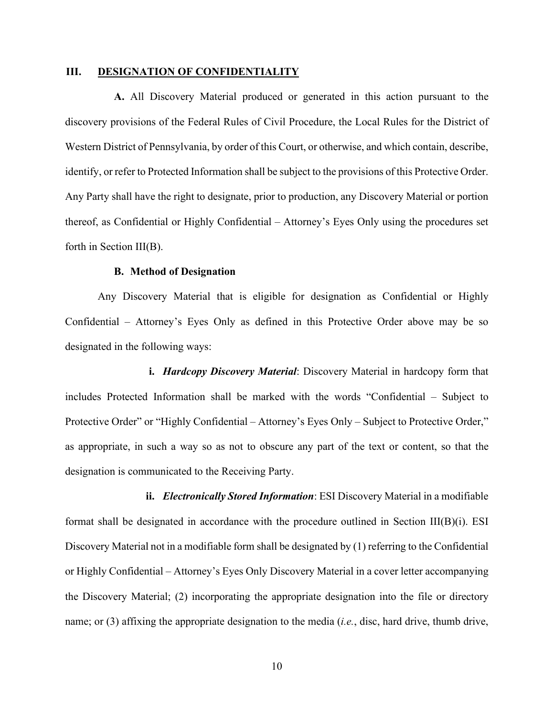# **III. DESIGNATION OF CONFIDENTIALITY**

**A.** All Discovery Material produced or generated in this action pursuant to the discovery provisions of the Federal Rules of Civil Procedure, the Local Rules for the District of Western District of Pennsylvania, by order of this Court, or otherwise, and which contain, describe, identify, or refer to Protected Information shall be subject to the provisions of this Protective Order. Any Party shall have the right to designate, prior to production, any Discovery Material or portion thereof, as Confidential or Highly Confidential – Attorney's Eyes Only using the procedures set forth in Section III(B).

# **B. Method of Designation**

Any Discovery Material that is eligible for designation as Confidential or Highly Confidential – Attorney's Eyes Only as defined in this Protective Order above may be so designated in the following ways:

**i.** *Hardcopy Discovery Material*: Discovery Material in hardcopy form that includes Protected Information shall be marked with the words "Confidential – Subject to Protective Order" or "Highly Confidential – Attorney's Eyes Only – Subject to Protective Order," as appropriate, in such a way so as not to obscure any part of the text or content, so that the designation is communicated to the Receiving Party.

**ii.** *Electronically Stored Information*: ESI Discovery Material in a modifiable format shall be designated in accordance with the procedure outlined in Section  $III(B)(i)$ . ESI Discovery Material not in a modifiable form shall be designated by (1) referring to the Confidential or Highly Confidential – Attorney's Eyes Only Discovery Material in a cover letter accompanying the Discovery Material; (2) incorporating the appropriate designation into the file or directory name; or (3) affixing the appropriate designation to the media (*i.e.*, disc, hard drive, thumb drive,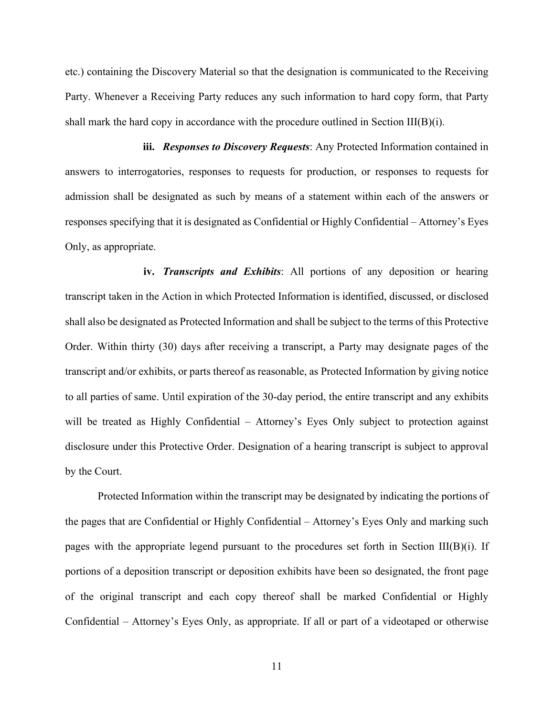etc.) containing the Discovery Material so that the designation is communicated to the Receiving Party. Whenever a Receiving Party reduces any such information to hard copy form, that Party shall mark the hard copy in accordance with the procedure outlined in Section III(B)(i).

**iii.** *Responses to Discovery Requests*: Any Protected Information contained in answers to interrogatories, responses to requests for production, or responses to requests for admission shall be designated as such by means of a statement within each of the answers or responses specifying that it is designated as Confidential or Highly Confidential – Attorney's Eyes Only, as appropriate.

**iv.** *Transcripts and Exhibits*: All portions of any deposition or hearing transcript taken in the Action in which Protected Information is identified, discussed, or disclosed shall also be designated as Protected Information and shall be subject to the terms of this Protective Order. Within thirty (30) days after receiving a transcript, a Party may designate pages of the transcript and/or exhibits, or parts thereof as reasonable, as Protected Information by giving notice to all parties of same. Until expiration of the 30-day period, the entire transcript and any exhibits will be treated as Highly Confidential – Attorney's Eyes Only subject to protection against disclosure under this Protective Order. Designation of a hearing transcript is subject to approval by the Court.

Protected Information within the transcript may be designated by indicating the portions of the pages that are Confidential or Highly Confidential – Attorney's Eyes Only and marking such pages with the appropriate legend pursuant to the procedures set forth in Section III(B)(i). If portions of a deposition transcript or deposition exhibits have been so designated, the front page of the original transcript and each copy thereof shall be marked Confidential or Highly Confidential – Attorney's Eyes Only, as appropriate. If all or part of a videotaped or otherwise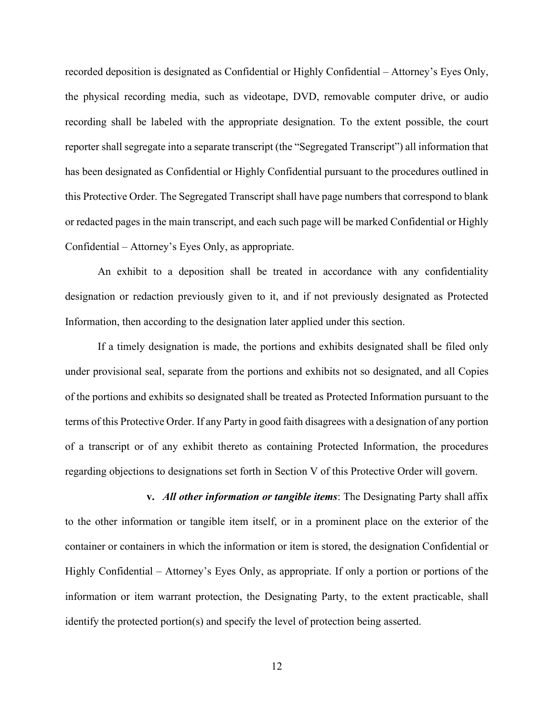recorded deposition is designated as Confidential or Highly Confidential – Attorney's Eyes Only, the physical recording media, such as videotape, DVD, removable computer drive, or audio recording shall be labeled with the appropriate designation. To the extent possible, the court reporter shall segregate into a separate transcript (the "Segregated Transcript") all information that has been designated as Confidential or Highly Confidential pursuant to the procedures outlined in this Protective Order. The Segregated Transcript shall have page numbers that correspond to blank or redacted pages in the main transcript, and each such page will be marked Confidential or Highly Confidential – Attorney's Eyes Only, as appropriate.

An exhibit to a deposition shall be treated in accordance with any confidentiality designation or redaction previously given to it, and if not previously designated as Protected Information, then according to the designation later applied under this section.

If a timely designation is made, the portions and exhibits designated shall be filed only under provisional seal, separate from the portions and exhibits not so designated, and all Copies of the portions and exhibits so designated shall be treated as Protected Information pursuant to the terms of this Protective Order. If any Party in good faith disagrees with a designation of any portion of a transcript or of any exhibit thereto as containing Protected Information, the procedures regarding objections to designations set forth in Section V of this Protective Order will govern.

**v.** *All other information or tangible items*: The Designating Party shall affix to the other information or tangible item itself, or in a prominent place on the exterior of the container or containers in which the information or item is stored, the designation Confidential or Highly Confidential – Attorney's Eyes Only, as appropriate. If only a portion or portions of the information or item warrant protection, the Designating Party, to the extent practicable, shall identify the protected portion(s) and specify the level of protection being asserted.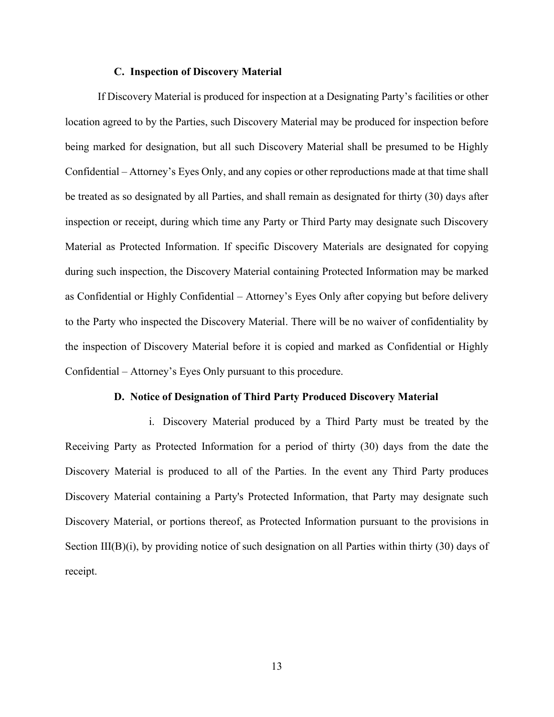# **C. Inspection of Discovery Material**

If Discovery Material is produced for inspection at a Designating Party's facilities or other location agreed to by the Parties, such Discovery Material may be produced for inspection before being marked for designation, but all such Discovery Material shall be presumed to be Highly Confidential – Attorney's Eyes Only, and any copies or other reproductions made at that time shall be treated as so designated by all Parties, and shall remain as designated for thirty (30) days after inspection or receipt, during which time any Party or Third Party may designate such Discovery Material as Protected Information. If specific Discovery Materials are designated for copying during such inspection, the Discovery Material containing Protected Information may be marked as Confidential or Highly Confidential – Attorney's Eyes Only after copying but before delivery to the Party who inspected the Discovery Material. There will be no waiver of confidentiality by the inspection of Discovery Material before it is copied and marked as Confidential or Highly Confidential – Attorney's Eyes Only pursuant to this procedure.

#### **D. Notice of Designation of Third Party Produced Discovery Material**

i. Discovery Material produced by a Third Party must be treated by the Receiving Party as Protected Information for a period of thirty (30) days from the date the Discovery Material is produced to all of the Parties. In the event any Third Party produces Discovery Material containing a Party's Protected Information, that Party may designate such Discovery Material, or portions thereof, as Protected Information pursuant to the provisions in Section III(B)(i), by providing notice of such designation on all Parties within thirty (30) days of receipt.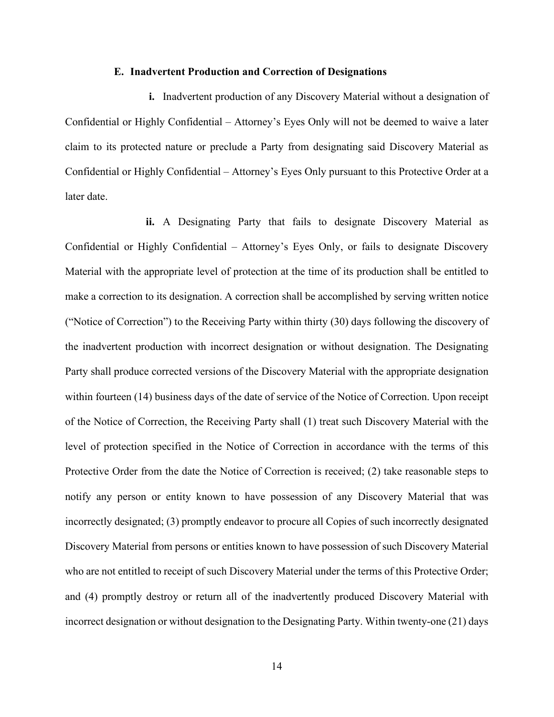#### **E. Inadvertent Production and Correction of Designations**

**i.** Inadvertent production of any Discovery Material without a designation of Confidential or Highly Confidential – Attorney's Eyes Only will not be deemed to waive a later claim to its protected nature or preclude a Party from designating said Discovery Material as Confidential or Highly Confidential – Attorney's Eyes Only pursuant to this Protective Order at a later date.

**ii.** A Designating Party that fails to designate Discovery Material as Confidential or Highly Confidential – Attorney's Eyes Only, or fails to designate Discovery Material with the appropriate level of protection at the time of its production shall be entitled to make a correction to its designation. A correction shall be accomplished by serving written notice ("Notice of Correction") to the Receiving Party within thirty (30) days following the discovery of the inadvertent production with incorrect designation or without designation. The Designating Party shall produce corrected versions of the Discovery Material with the appropriate designation within fourteen (14) business days of the date of service of the Notice of Correction. Upon receipt of the Notice of Correction, the Receiving Party shall (1) treat such Discovery Material with the level of protection specified in the Notice of Correction in accordance with the terms of this Protective Order from the date the Notice of Correction is received; (2) take reasonable steps to notify any person or entity known to have possession of any Discovery Material that was incorrectly designated; (3) promptly endeavor to procure all Copies of such incorrectly designated Discovery Material from persons or entities known to have possession of such Discovery Material who are not entitled to receipt of such Discovery Material under the terms of this Protective Order; and (4) promptly destroy or return all of the inadvertently produced Discovery Material with incorrect designation or without designation to the Designating Party. Within twenty-one (21) days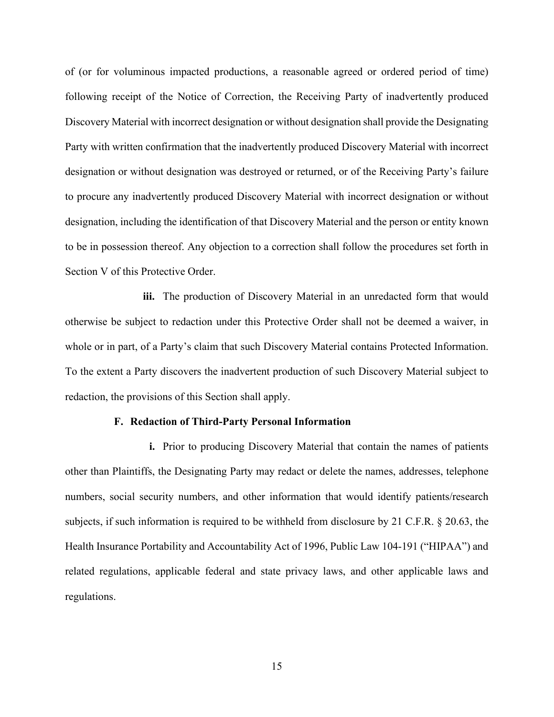of (or for voluminous impacted productions, a reasonable agreed or ordered period of time) following receipt of the Notice of Correction, the Receiving Party of inadvertently produced Discovery Material with incorrect designation or without designation shall provide the Designating Party with written confirmation that the inadvertently produced Discovery Material with incorrect designation or without designation was destroyed or returned, or of the Receiving Party's failure to procure any inadvertently produced Discovery Material with incorrect designation or without designation, including the identification of that Discovery Material and the person or entity known to be in possession thereof. Any objection to a correction shall follow the procedures set forth in Section V of this Protective Order.

**iii.** The production of Discovery Material in an unredacted form that would otherwise be subject to redaction under this Protective Order shall not be deemed a waiver, in whole or in part, of a Party's claim that such Discovery Material contains Protected Information. To the extent a Party discovers the inadvertent production of such Discovery Material subject to redaction, the provisions of this Section shall apply.

# **F. Redaction of Third-Party Personal Information**

**i.** Prior to producing Discovery Material that contain the names of patients other than Plaintiffs, the Designating Party may redact or delete the names, addresses, telephone numbers, social security numbers, and other information that would identify patients/research subjects, if such information is required to be withheld from disclosure by 21 C.F.R. § 20.63, the Health Insurance Portability and Accountability Act of 1996, Public Law 104-191 ("HIPAA") and related regulations, applicable federal and state privacy laws, and other applicable laws and regulations.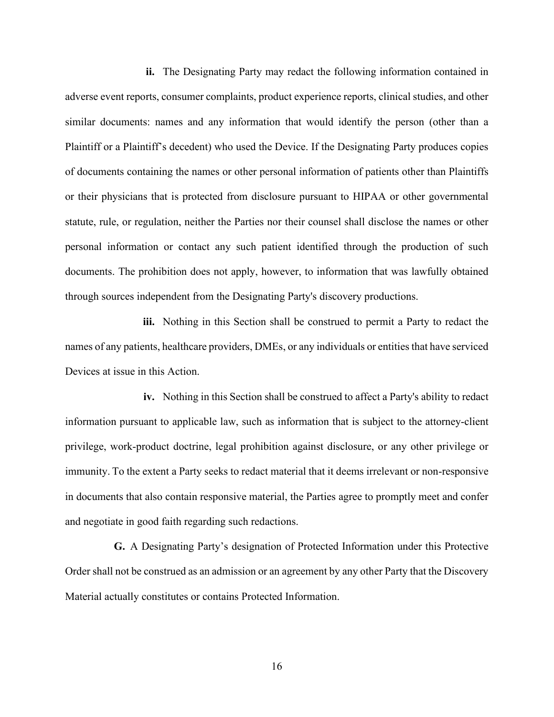**ii.** The Designating Party may redact the following information contained in adverse event reports, consumer complaints, product experience reports, clinical studies, and other similar documents: names and any information that would identify the person (other than a Plaintiff or a Plaintiff's decedent) who used the Device. If the Designating Party produces copies of documents containing the names or other personal information of patients other than Plaintiffs or their physicians that is protected from disclosure pursuant to HIPAA or other governmental statute, rule, or regulation, neither the Parties nor their counsel shall disclose the names or other personal information or contact any such patient identified through the production of such documents. The prohibition does not apply, however, to information that was lawfully obtained through sources independent from the Designating Party's discovery productions.

**iii.** Nothing in this Section shall be construed to permit a Party to redact the names of any patients, healthcare providers, DMEs, or any individuals or entities that have serviced Devices at issue in this Action.

**iv.** Nothing in this Section shall be construed to affect a Party's ability to redact information pursuant to applicable law, such as information that is subject to the attorney-client privilege, work-product doctrine, legal prohibition against disclosure, or any other privilege or immunity. To the extent a Party seeks to redact material that it deems irrelevant or non-responsive in documents that also contain responsive material, the Parties agree to promptly meet and confer and negotiate in good faith regarding such redactions.

**G.** A Designating Party's designation of Protected Information under this Protective Order shall not be construed as an admission or an agreement by any other Party that the Discovery Material actually constitutes or contains Protected Information.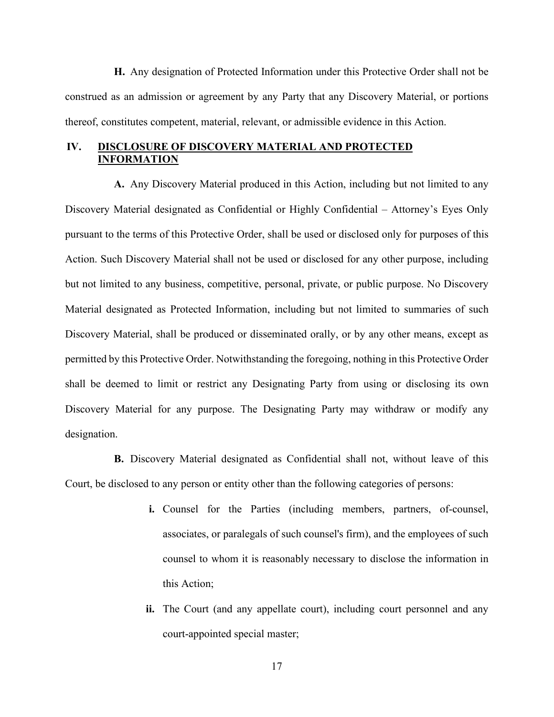**H.** Any designation of Protected Information under this Protective Order shall not be construed as an admission or agreement by any Party that any Discovery Material, or portions thereof, constitutes competent, material, relevant, or admissible evidence in this Action.

# **IV. DISCLOSURE OF DISCOVERY MATERIAL AND PROTECTED INFORMATION**

**A.** Any Discovery Material produced in this Action, including but not limited to any Discovery Material designated as Confidential or Highly Confidential – Attorney's Eyes Only pursuant to the terms of this Protective Order, shall be used or disclosed only for purposes of this Action. Such Discovery Material shall not be used or disclosed for any other purpose, including but not limited to any business, competitive, personal, private, or public purpose. No Discovery Material designated as Protected Information, including but not limited to summaries of such Discovery Material, shall be produced or disseminated orally, or by any other means, except as permitted by this Protective Order. Notwithstanding the foregoing, nothing in this Protective Order shall be deemed to limit or restrict any Designating Party from using or disclosing its own Discovery Material for any purpose. The Designating Party may withdraw or modify any designation.

**B.** Discovery Material designated as Confidential shall not, without leave of this Court, be disclosed to any person or entity other than the following categories of persons:

- **i.** Counsel for the Parties (including members, partners, of-counsel, associates, or paralegals of such counsel's firm), and the employees of such counsel to whom it is reasonably necessary to disclose the information in this Action;
- **ii.** The Court (and any appellate court), including court personnel and any court-appointed special master;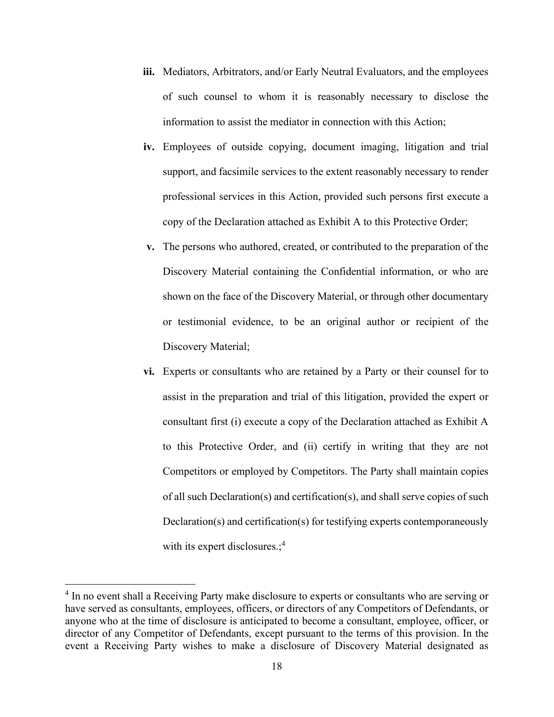- **iii.** Mediators, Arbitrators, and/or Early Neutral Evaluators, and the employees of such counsel to whom it is reasonably necessary to disclose the information to assist the mediator in connection with this Action;
- **iv.** Employees of outside copying, document imaging, litigation and trial support, and facsimile services to the extent reasonably necessary to render professional services in this Action, provided such persons first execute a copy of the Declaration attached as Exhibit A to this Protective Order;
- **v.** The persons who authored, created, or contributed to the preparation of the Discovery Material containing the Confidential information, or who are shown on the face of the Discovery Material, or through other documentary or testimonial evidence, to be an original author or recipient of the Discovery Material;
- **vi.** Experts or consultants who are retained by a Party or their counsel for to assist in the preparation and trial of this litigation, provided the expert or consultant first (i) execute a copy of the Declaration attached as Exhibit A to this Protective Order, and (ii) certify in writing that they are not Competitors or employed by Competitors. The Party shall maintain copies of all such Declaration(s) and certification(s), and shall serve copies of such Declaration(s) and certification(s) for testifying experts contemporaneously with its expert disclosures.;<sup>4</sup>

<sup>&</sup>lt;sup>4</sup> In no event shall a Receiving Party make disclosure to experts or consultants who are serving or have served as consultants, employees, officers, or directors of any Competitors of Defendants, or anyone who at the time of disclosure is anticipated to become a consultant, employee, officer, or director of any Competitor of Defendants, except pursuant to the terms of this provision. In the event a Receiving Party wishes to make a disclosure of Discovery Material designated as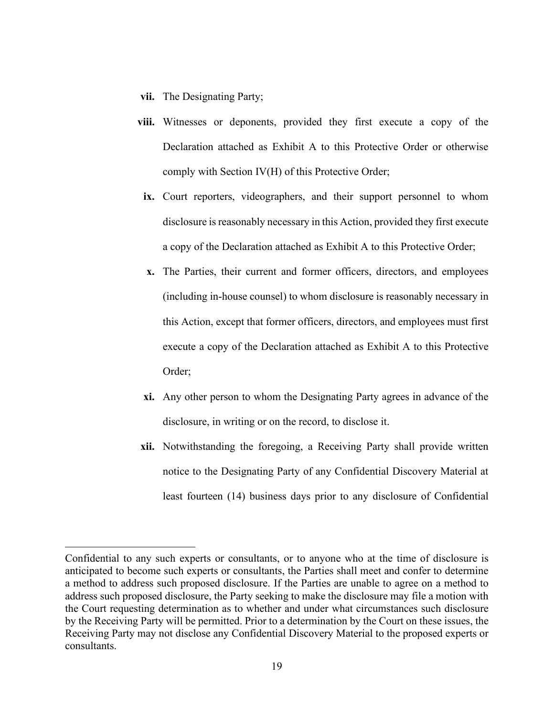- **vii.** The Designating Party;
- **viii.** Witnesses or deponents, provided they first execute a copy of the Declaration attached as Exhibit A to this Protective Order or otherwise comply with Section IV(H) of this Protective Order;
- **ix.** Court reporters, videographers, and their support personnel to whom disclosure is reasonably necessary in this Action, provided they first execute a copy of the Declaration attached as Exhibit A to this Protective Order;
- **x.** The Parties, their current and former officers, directors, and employees (including in-house counsel) to whom disclosure is reasonably necessary in this Action, except that former officers, directors, and employees must first execute a copy of the Declaration attached as Exhibit A to this Protective Order;
- **xi.** Any other person to whom the Designating Party agrees in advance of the disclosure, in writing or on the record, to disclose it.
- **xii.** Notwithstanding the foregoing, a Receiving Party shall provide written notice to the Designating Party of any Confidential Discovery Material at least fourteen (14) business days prior to any disclosure of Confidential

Confidential to any such experts or consultants, or to anyone who at the time of disclosure is anticipated to become such experts or consultants, the Parties shall meet and confer to determine a method to address such proposed disclosure. If the Parties are unable to agree on a method to address such proposed disclosure, the Party seeking to make the disclosure may file a motion with the Court requesting determination as to whether and under what circumstances such disclosure by the Receiving Party will be permitted. Prior to a determination by the Court on these issues, the Receiving Party may not disclose any Confidential Discovery Material to the proposed experts or consultants.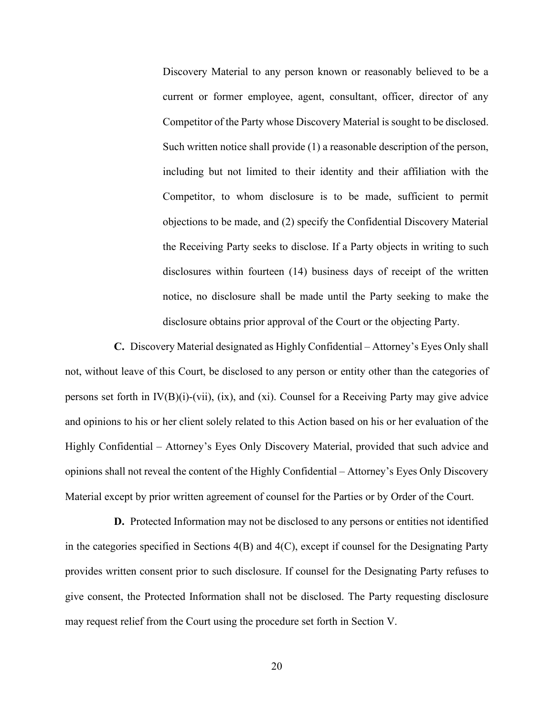Discovery Material to any person known or reasonably believed to be a current or former employee, agent, consultant, officer, director of any Competitor of the Party whose Discovery Material is sought to be disclosed. Such written notice shall provide (1) a reasonable description of the person, including but not limited to their identity and their affiliation with the Competitor, to whom disclosure is to be made, sufficient to permit objections to be made, and (2) specify the Confidential Discovery Material the Receiving Party seeks to disclose. If a Party objects in writing to such disclosures within fourteen (14) business days of receipt of the written notice, no disclosure shall be made until the Party seeking to make the disclosure obtains prior approval of the Court or the objecting Party.

**C.** Discovery Material designated as Highly Confidential – Attorney's Eyes Only shall not, without leave of this Court, be disclosed to any person or entity other than the categories of persons set forth in  $IV(B)(i)-(vii)$ , (ix), and (xi). Counsel for a Receiving Party may give advice and opinions to his or her client solely related to this Action based on his or her evaluation of the Highly Confidential – Attorney's Eyes Only Discovery Material, provided that such advice and opinions shall not reveal the content of the Highly Confidential – Attorney's Eyes Only Discovery Material except by prior written agreement of counsel for the Parties or by Order of the Court.

**D.** Protected Information may not be disclosed to any persons or entities not identified in the categories specified in Sections 4(B) and 4(C), except if counsel for the Designating Party provides written consent prior to such disclosure. If counsel for the Designating Party refuses to give consent, the Protected Information shall not be disclosed. The Party requesting disclosure may request relief from the Court using the procedure set forth in Section V.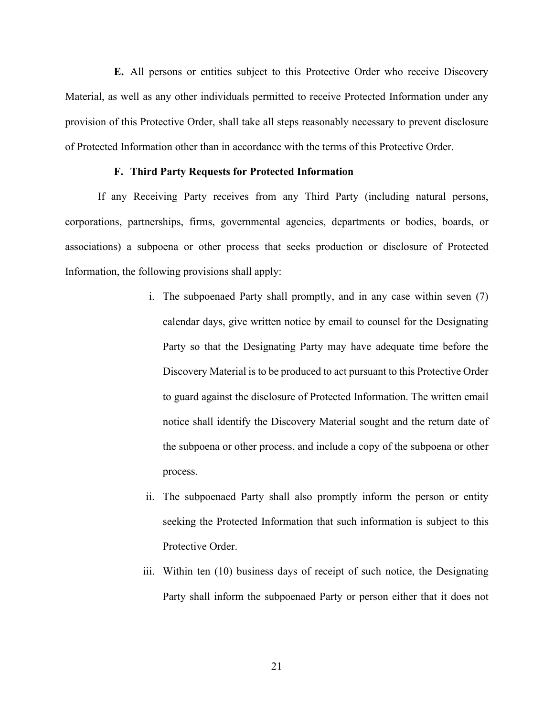**E.** All persons or entities subject to this Protective Order who receive Discovery Material, as well as any other individuals permitted to receive Protected Information under any provision of this Protective Order, shall take all steps reasonably necessary to prevent disclosure of Protected Information other than in accordance with the terms of this Protective Order.

# **F. Third Party Requests for Protected Information**

If any Receiving Party receives from any Third Party (including natural persons, corporations, partnerships, firms, governmental agencies, departments or bodies, boards, or associations) a subpoena or other process that seeks production or disclosure of Protected Information, the following provisions shall apply:

- i. The subpoenaed Party shall promptly, and in any case within seven (7) calendar days, give written notice by email to counsel for the Designating Party so that the Designating Party may have adequate time before the Discovery Material is to be produced to act pursuant to this Protective Order to guard against the disclosure of Protected Information. The written email notice shall identify the Discovery Material sought and the return date of the subpoena or other process, and include a copy of the subpoena or other process.
- ii. The subpoenaed Party shall also promptly inform the person or entity seeking the Protected Information that such information is subject to this Protective Order.
- iii. Within ten (10) business days of receipt of such notice, the Designating Party shall inform the subpoenaed Party or person either that it does not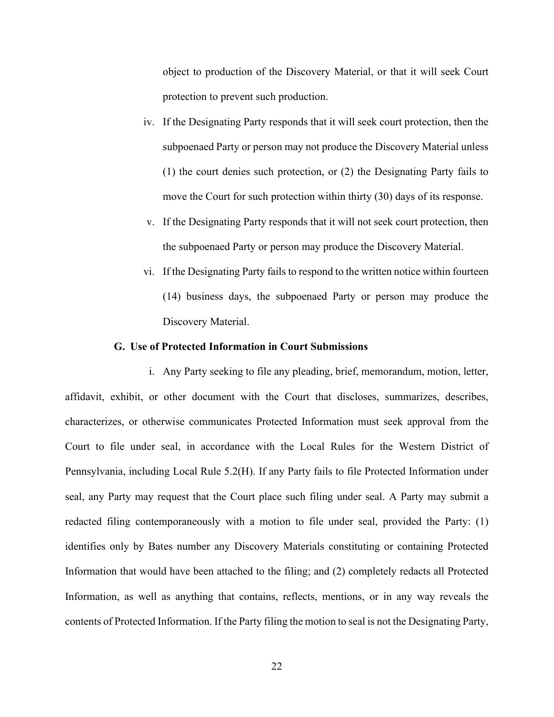object to production of the Discovery Material, or that it will seek Court protection to prevent such production.

- iv. If the Designating Party responds that it will seek court protection, then the subpoenaed Party or person may not produce the Discovery Material unless (1) the court denies such protection, or (2) the Designating Party fails to move the Court for such protection within thirty (30) days of its response.
- v. If the Designating Party responds that it will not seek court protection, then the subpoenaed Party or person may produce the Discovery Material.
- vi. If the Designating Party fails to respond to the written notice within fourteen (14) business days, the subpoenaed Party or person may produce the Discovery Material.

#### **G. Use of Protected Information in Court Submissions**

i. Any Party seeking to file any pleading, brief, memorandum, motion, letter, affidavit, exhibit, or other document with the Court that discloses, summarizes, describes, characterizes, or otherwise communicates Protected Information must seek approval from the Court to file under seal, in accordance with the Local Rules for the Western District of Pennsylvania, including Local Rule 5.2(H). If any Party fails to file Protected Information under seal, any Party may request that the Court place such filing under seal. A Party may submit a redacted filing contemporaneously with a motion to file under seal, provided the Party: (1) identifies only by Bates number any Discovery Materials constituting or containing Protected Information that would have been attached to the filing; and (2) completely redacts all Protected Information, as well as anything that contains, reflects, mentions, or in any way reveals the contents of Protected Information. If the Party filing the motion to seal is not the Designating Party,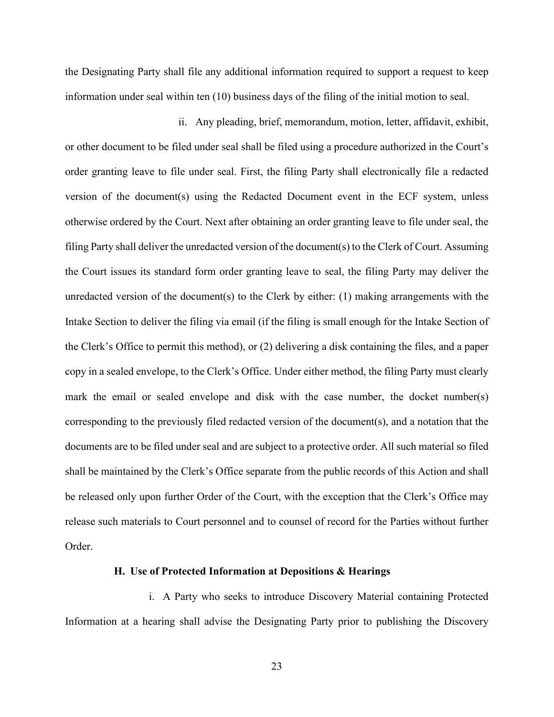the Designating Party shall file any additional information required to support a request to keep information under seal within ten (10) business days of the filing of the initial motion to seal.

ii. Any pleading, brief, memorandum, motion, letter, affidavit, exhibit, or other document to be filed under seal shall be filed using a procedure authorized in the Court's order granting leave to file under seal. First, the filing Party shall electronically file a redacted version of the document(s) using the Redacted Document event in the ECF system, unless otherwise ordered by the Court. Next after obtaining an order granting leave to file under seal, the filing Party shall deliver the unredacted version of the document(s) to the Clerk of Court. Assuming the Court issues its standard form order granting leave to seal, the filing Party may deliver the unredacted version of the document(s) to the Clerk by either:  $(1)$  making arrangements with the Intake Section to deliver the filing via email (if the filing is small enough for the Intake Section of the Clerk's Office to permit this method), or (2) delivering a disk containing the files, and a paper copy in a sealed envelope, to the Clerk's Office. Under either method, the filing Party must clearly mark the email or sealed envelope and disk with the case number, the docket number(s) corresponding to the previously filed redacted version of the document(s), and a notation that the documents are to be filed under seal and are subject to a protective order. All such material so filed shall be maintained by the Clerk's Office separate from the public records of this Action and shall be released only upon further Order of the Court, with the exception that the Clerk's Office may release such materials to Court personnel and to counsel of record for the Parties without further Order.

#### **H. Use of Protected Information at Depositions & Hearings**

i. A Party who seeks to introduce Discovery Material containing Protected Information at a hearing shall advise the Designating Party prior to publishing the Discovery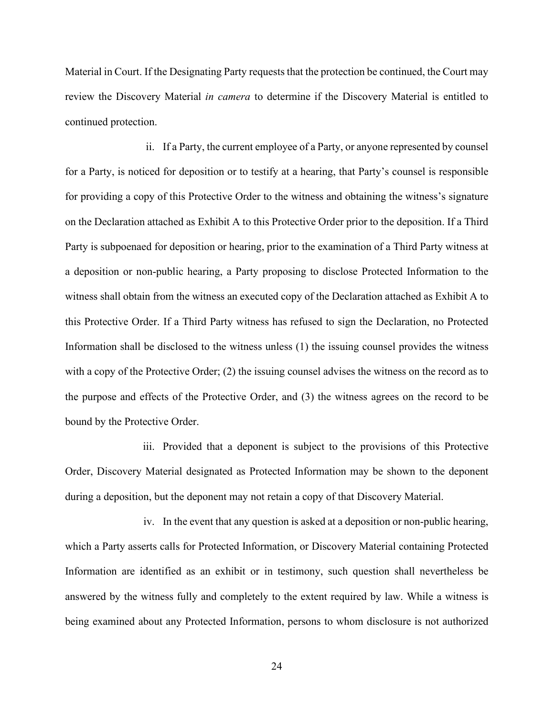Material in Court. If the Designating Party requests that the protection be continued, the Court may review the Discovery Material *in camera* to determine if the Discovery Material is entitled to continued protection.

ii. If a Party, the current employee of a Party, or anyone represented by counsel for a Party, is noticed for deposition or to testify at a hearing, that Party's counsel is responsible for providing a copy of this Protective Order to the witness and obtaining the witness's signature on the Declaration attached as Exhibit A to this Protective Order prior to the deposition. If a Third Party is subpoenaed for deposition or hearing, prior to the examination of a Third Party witness at a deposition or non-public hearing, a Party proposing to disclose Protected Information to the witness shall obtain from the witness an executed copy of the Declaration attached as Exhibit A to this Protective Order. If a Third Party witness has refused to sign the Declaration, no Protected Information shall be disclosed to the witness unless (1) the issuing counsel provides the witness with a copy of the Protective Order; (2) the issuing counsel advises the witness on the record as to the purpose and effects of the Protective Order, and (3) the witness agrees on the record to be bound by the Protective Order.

iii. Provided that a deponent is subject to the provisions of this Protective Order, Discovery Material designated as Protected Information may be shown to the deponent during a deposition, but the deponent may not retain a copy of that Discovery Material.

iv. In the event that any question is asked at a deposition or non-public hearing, which a Party asserts calls for Protected Information, or Discovery Material containing Protected Information are identified as an exhibit or in testimony, such question shall nevertheless be answered by the witness fully and completely to the extent required by law. While a witness is being examined about any Protected Information, persons to whom disclosure is not authorized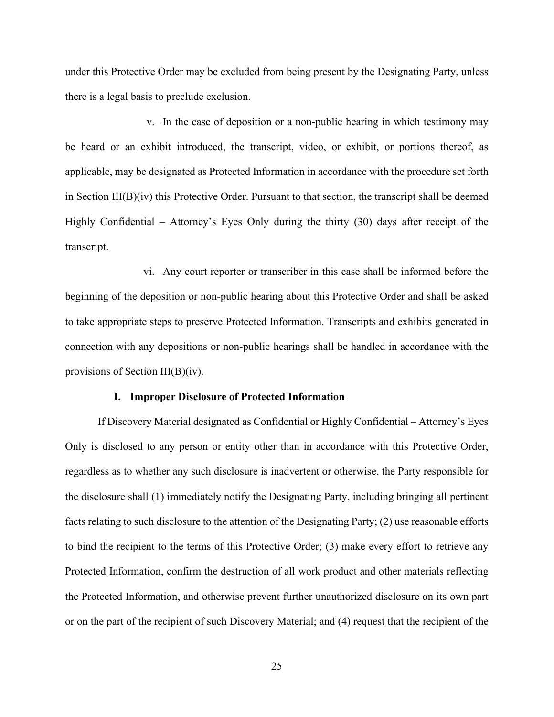under this Protective Order may be excluded from being present by the Designating Party, unless there is a legal basis to preclude exclusion.

v. In the case of deposition or a non-public hearing in which testimony may be heard or an exhibit introduced, the transcript, video, or exhibit, or portions thereof, as applicable, may be designated as Protected Information in accordance with the procedure set forth in Section III(B)(iv) this Protective Order. Pursuant to that section, the transcript shall be deemed Highly Confidential – Attorney's Eyes Only during the thirty (30) days after receipt of the transcript.

vi. Any court reporter or transcriber in this case shall be informed before the beginning of the deposition or non-public hearing about this Protective Order and shall be asked to take appropriate steps to preserve Protected Information. Transcripts and exhibits generated in connection with any depositions or non-public hearings shall be handled in accordance with the provisions of Section III(B)(iv).

#### **I. Improper Disclosure of Protected Information**

If Discovery Material designated as Confidential or Highly Confidential – Attorney's Eyes Only is disclosed to any person or entity other than in accordance with this Protective Order, regardless as to whether any such disclosure is inadvertent or otherwise, the Party responsible for the disclosure shall (1) immediately notify the Designating Party, including bringing all pertinent facts relating to such disclosure to the attention of the Designating Party; (2) use reasonable efforts to bind the recipient to the terms of this Protective Order; (3) make every effort to retrieve any Protected Information, confirm the destruction of all work product and other materials reflecting the Protected Information, and otherwise prevent further unauthorized disclosure on its own part or on the part of the recipient of such Discovery Material; and (4) request that the recipient of the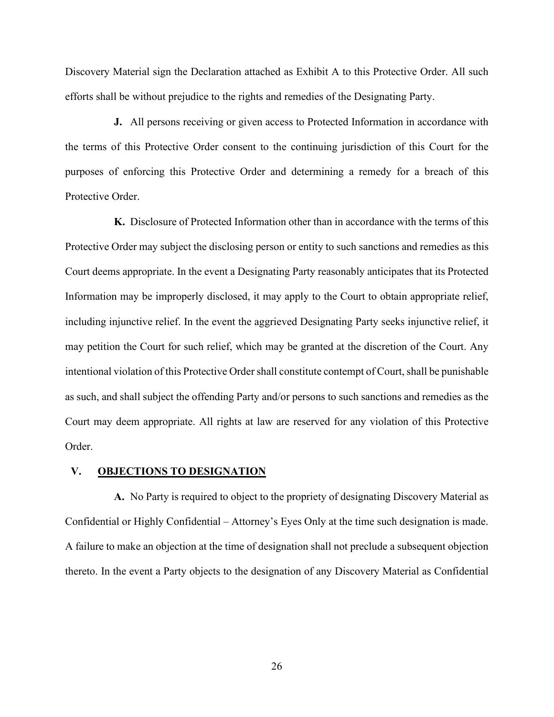Discovery Material sign the Declaration attached as Exhibit A to this Protective Order. All such efforts shall be without prejudice to the rights and remedies of the Designating Party.

**J.** All persons receiving or given access to Protected Information in accordance with the terms of this Protective Order consent to the continuing jurisdiction of this Court for the purposes of enforcing this Protective Order and determining a remedy for a breach of this Protective Order.

**K.** Disclosure of Protected Information other than in accordance with the terms of this Protective Order may subject the disclosing person or entity to such sanctions and remedies as this Court deems appropriate. In the event a Designating Party reasonably anticipates that its Protected Information may be improperly disclosed, it may apply to the Court to obtain appropriate relief, including injunctive relief. In the event the aggrieved Designating Party seeks injunctive relief, it may petition the Court for such relief, which may be granted at the discretion of the Court. Any intentional violation of this Protective Order shall constitute contempt of Court, shall be punishable as such, and shall subject the offending Party and/or persons to such sanctions and remedies as the Court may deem appropriate. All rights at law are reserved for any violation of this Protective Order.

# **V. OBJECTIONS TO DESIGNATION**

**A.** No Party is required to object to the propriety of designating Discovery Material as Confidential or Highly Confidential – Attorney's Eyes Only at the time such designation is made. A failure to make an objection at the time of designation shall not preclude a subsequent objection thereto. In the event a Party objects to the designation of any Discovery Material as Confidential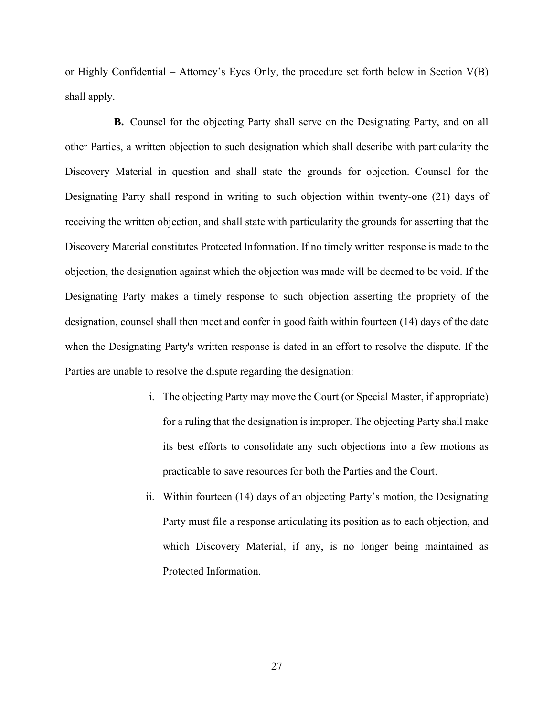or Highly Confidential – Attorney's Eyes Only, the procedure set forth below in Section  $V(B)$ shall apply.

**B.** Counsel for the objecting Party shall serve on the Designating Party, and on all other Parties, a written objection to such designation which shall describe with particularity the Discovery Material in question and shall state the grounds for objection. Counsel for the Designating Party shall respond in writing to such objection within twenty-one (21) days of receiving the written objection, and shall state with particularity the grounds for asserting that the Discovery Material constitutes Protected Information. If no timely written response is made to the objection, the designation against which the objection was made will be deemed to be void. If the Designating Party makes a timely response to such objection asserting the propriety of the designation, counsel shall then meet and confer in good faith within fourteen (14) days of the date when the Designating Party's written response is dated in an effort to resolve the dispute. If the Parties are unable to resolve the dispute regarding the designation:

- i. The objecting Party may move the Court (or Special Master, if appropriate) for a ruling that the designation is improper. The objecting Party shall make its best efforts to consolidate any such objections into a few motions as practicable to save resources for both the Parties and the Court.
- ii. Within fourteen (14) days of an objecting Party's motion, the Designating Party must file a response articulating its position as to each objection, and which Discovery Material, if any, is no longer being maintained as Protected Information.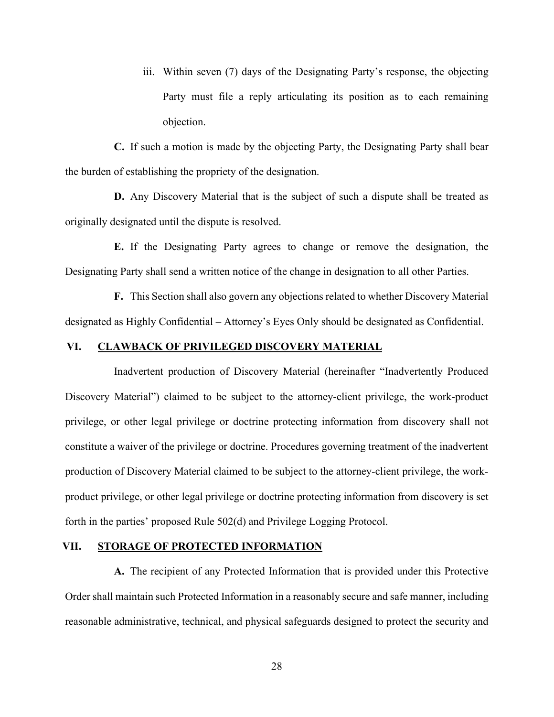iii. Within seven (7) days of the Designating Party's response, the objecting Party must file a reply articulating its position as to each remaining objection.

**C.** If such a motion is made by the objecting Party, the Designating Party shall bear the burden of establishing the propriety of the designation.

**D.** Any Discovery Material that is the subject of such a dispute shall be treated as originally designated until the dispute is resolved.

**E.** If the Designating Party agrees to change or remove the designation, the Designating Party shall send a written notice of the change in designation to all other Parties.

**F.** This Section shall also govern any objections related to whether Discovery Material designated as Highly Confidential – Attorney's Eyes Only should be designated as Confidential.

# **VI. CLAWBACK OF PRIVILEGED DISCOVERY MATERIAL**

Inadvertent production of Discovery Material (hereinafter "Inadvertently Produced Discovery Material") claimed to be subject to the attorney-client privilege, the work-product privilege, or other legal privilege or doctrine protecting information from discovery shall not constitute a waiver of the privilege or doctrine. Procedures governing treatment of the inadvertent production of Discovery Material claimed to be subject to the attorney-client privilege, the workproduct privilege, or other legal privilege or doctrine protecting information from discovery is set forth in the parties' proposed Rule 502(d) and Privilege Logging Protocol.

# **VII. STORAGE OF PROTECTED INFORMATION**

**A.** The recipient of any Protected Information that is provided under this Protective Order shall maintain such Protected Information in a reasonably secure and safe manner, including reasonable administrative, technical, and physical safeguards designed to protect the security and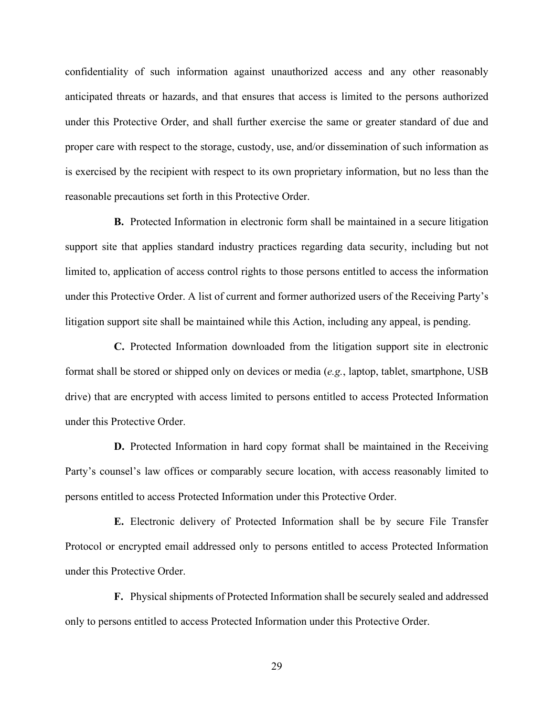confidentiality of such information against unauthorized access and any other reasonably anticipated threats or hazards, and that ensures that access is limited to the persons authorized under this Protective Order, and shall further exercise the same or greater standard of due and proper care with respect to the storage, custody, use, and/or dissemination of such information as is exercised by the recipient with respect to its own proprietary information, but no less than the reasonable precautions set forth in this Protective Order.

**B.** Protected Information in electronic form shall be maintained in a secure litigation support site that applies standard industry practices regarding data security, including but not limited to, application of access control rights to those persons entitled to access the information under this Protective Order. A list of current and former authorized users of the Receiving Party's litigation support site shall be maintained while this Action, including any appeal, is pending.

**C.** Protected Information downloaded from the litigation support site in electronic format shall be stored or shipped only on devices or media (*e.g.*, laptop, tablet, smartphone, USB drive) that are encrypted with access limited to persons entitled to access Protected Information under this Protective Order.

**D.** Protected Information in hard copy format shall be maintained in the Receiving Party's counsel's law offices or comparably secure location, with access reasonably limited to persons entitled to access Protected Information under this Protective Order.

**E.** Electronic delivery of Protected Information shall be by secure File Transfer Protocol or encrypted email addressed only to persons entitled to access Protected Information under this Protective Order.

**F.** Physical shipments of Protected Information shall be securely sealed and addressed only to persons entitled to access Protected Information under this Protective Order.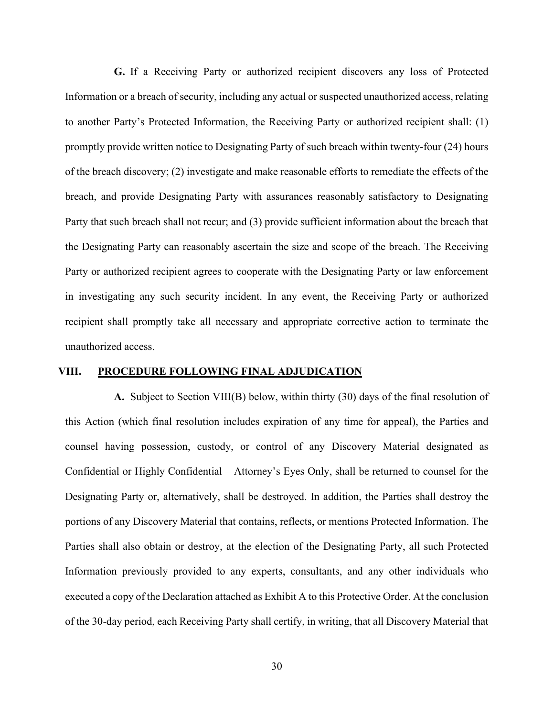**G.** If a Receiving Party or authorized recipient discovers any loss of Protected Information or a breach of security, including any actual or suspected unauthorized access, relating to another Party's Protected Information, the Receiving Party or authorized recipient shall: (1) promptly provide written notice to Designating Party of such breach within twenty-four (24) hours of the breach discovery; (2) investigate and make reasonable efforts to remediate the effects of the breach, and provide Designating Party with assurances reasonably satisfactory to Designating Party that such breach shall not recur; and (3) provide sufficient information about the breach that the Designating Party can reasonably ascertain the size and scope of the breach. The Receiving Party or authorized recipient agrees to cooperate with the Designating Party or law enforcement in investigating any such security incident. In any event, the Receiving Party or authorized recipient shall promptly take all necessary and appropriate corrective action to terminate the unauthorized access.

# **VIII. PROCEDURE FOLLOWING FINAL ADJUDICATION**

**A.** Subject to Section VIII(B) below, within thirty (30) days of the final resolution of this Action (which final resolution includes expiration of any time for appeal), the Parties and counsel having possession, custody, or control of any Discovery Material designated as Confidential or Highly Confidential – Attorney's Eyes Only, shall be returned to counsel for the Designating Party or, alternatively, shall be destroyed. In addition, the Parties shall destroy the portions of any Discovery Material that contains, reflects, or mentions Protected Information. The Parties shall also obtain or destroy, at the election of the Designating Party, all such Protected Information previously provided to any experts, consultants, and any other individuals who executed a copy of the Declaration attached as Exhibit A to this Protective Order. At the conclusion of the 30-day period, each Receiving Party shall certify, in writing, that all Discovery Material that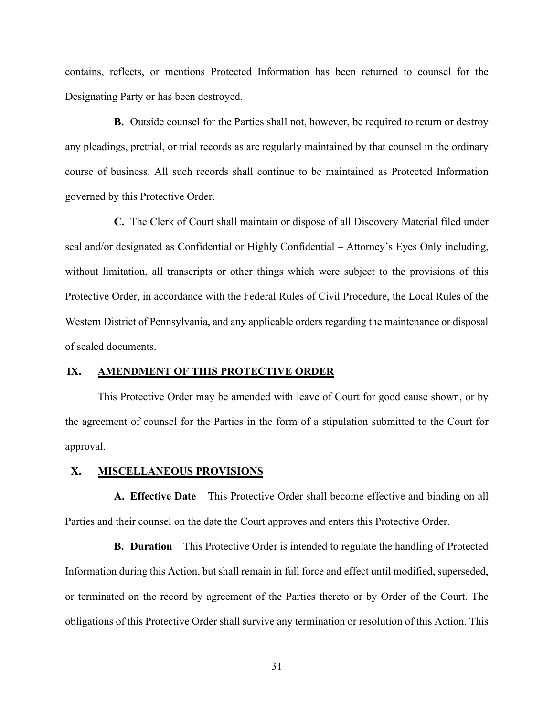contains, reflects, or mentions Protected Information has been returned to counsel for the Designating Party or has been destroyed.

**B.** Outside counsel for the Parties shall not, however, be required to return or destroy any pleadings, pretrial, or trial records as are regularly maintained by that counsel in the ordinary course of business. All such records shall continue to be maintained as Protected Information governed by this Protective Order.

**C.** The Clerk of Court shall maintain or dispose of all Discovery Material filed under seal and/or designated as Confidential or Highly Confidential – Attorney's Eyes Only including, without limitation, all transcripts or other things which were subject to the provisions of this Protective Order, in accordance with the Federal Rules of Civil Procedure, the Local Rules of the Western District of Pennsylvania, and any applicable orders regarding the maintenance or disposal of sealed documents.

#### **IX. AMENDMENT OF THIS PROTECTIVE ORDER**

This Protective Order may be amended with leave of Court for good cause shown, or by the agreement of counsel for the Parties in the form of a stipulation submitted to the Court for approval.

#### **X. MISCELLANEOUS PROVISIONS**

**A. Effective Date** – This Protective Order shall become effective and binding on all Parties and their counsel on the date the Court approves and enters this Protective Order.

**B. Duration** – This Protective Order is intended to regulate the handling of Protected Information during this Action, but shall remain in full force and effect until modified, superseded, or terminated on the record by agreement of the Parties thereto or by Order of the Court. The obligations of this Protective Order shall survive any termination or resolution of this Action. This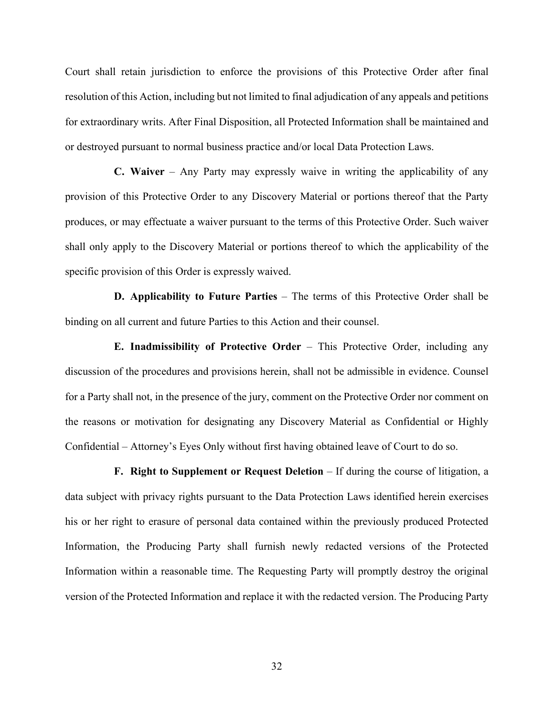Court shall retain jurisdiction to enforce the provisions of this Protective Order after final resolution of this Action, including but not limited to final adjudication of any appeals and petitions for extraordinary writs. After Final Disposition, all Protected Information shall be maintained and or destroyed pursuant to normal business practice and/or local Data Protection Laws.

**C. Waiver** – Any Party may expressly waive in writing the applicability of any provision of this Protective Order to any Discovery Material or portions thereof that the Party produces, or may effectuate a waiver pursuant to the terms of this Protective Order. Such waiver shall only apply to the Discovery Material or portions thereof to which the applicability of the specific provision of this Order is expressly waived.

**D. Applicability to Future Parties** – The terms of this Protective Order shall be binding on all current and future Parties to this Action and their counsel.

**E. Inadmissibility of Protective Order** – This Protective Order, including any discussion of the procedures and provisions herein, shall not be admissible in evidence. Counsel for a Party shall not, in the presence of the jury, comment on the Protective Order nor comment on the reasons or motivation for designating any Discovery Material as Confidential or Highly Confidential – Attorney's Eyes Only without first having obtained leave of Court to do so.

**F. Right to Supplement or Request Deletion** – If during the course of litigation, a data subject with privacy rights pursuant to the Data Protection Laws identified herein exercises his or her right to erasure of personal data contained within the previously produced Protected Information, the Producing Party shall furnish newly redacted versions of the Protected Information within a reasonable time. The Requesting Party will promptly destroy the original version of the Protected Information and replace it with the redacted version. The Producing Party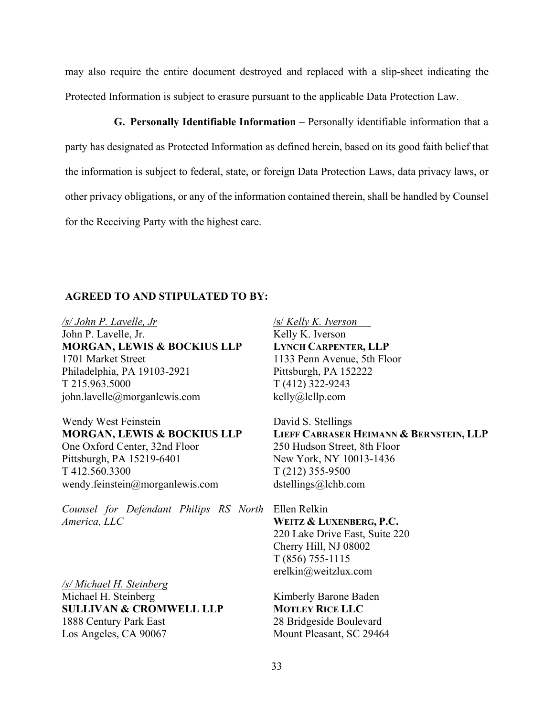may also require the entire document destroyed and replaced with a slip-sheet indicating the Protected Information is subject to erasure pursuant to the applicable Data Protection Law.

**G. Personally Identifiable Information** – Personally identifiable information that a party has designated as Protected Information as defined herein, based on its good faith belief that the information is subject to federal, state, or foreign Data Protection Laws, data privacy laws, or other privacy obligations, or any of the information contained therein, shall be handled by Counsel for the Receiving Party with the highest care.

# **AGREED TO AND STIPULATED TO BY:**

*/s/ John P. Lavelle, Jr*  John P. Lavelle, Jr. **MORGAN, LEWIS & BOCKIUS LLP**  1701 Market Street Philadelphia, PA 19103-2921 T 215.963.5000 john.lavelle@morganlewis.com

Wendy West Feinstein **MORGAN, LEWIS & BOCKIUS LLP**  One Oxford Center, 32nd Floor Pittsburgh, PA 15219-6401 T 412.560.3300 wendy.feinstein@morganlewis.com

*Counsel for Defendant Philips RS North*  Ellen Relkin *America, LLC* 

*/s/ Michael H. Steinberg*  Michael H. Steinberg **SULLIVAN & CROMWELL LLP**  1888 Century Park East Los Angeles, CA 90067

/s/ *Kelly K. Iverson* Kelly K. Iverson **LYNCH CARPENTER, LLP**  1133 Penn Avenue, 5th Floor Pittsburgh, PA 152222 T (412) 322-9243 kelly@lcllp.com

David S. Stellings **LIEFF CABRASER HEIMANN & BERNSTEIN, LLP** 250 Hudson Street, 8th Floor New York, NY 10013-1436 T (212) 355-9500 dstellings@lchb.com

**WEITZ & LUXENBERG, P.C.**  220 Lake Drive East, Suite 220 Cherry Hill, NJ 08002 T (856) 755-1115 erelkin@weitzlux.com

Kimberly Barone Baden **MOTLEY RICE LLC** 28 Bridgeside Boulevard Mount Pleasant, SC 29464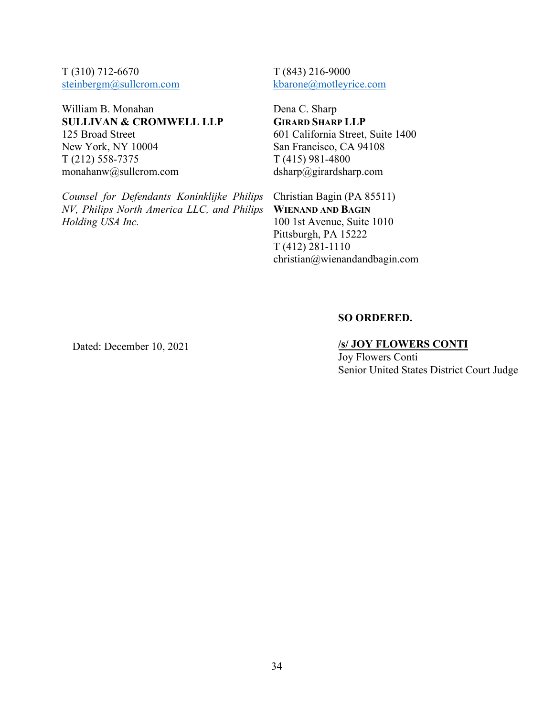T (310) 712-6670 steinbergm@sullcrom.com

William B. Monahan **SULLIVAN & CROMWELL LLP**  125 Broad Street New York, NY 10004 T (212) 558-7375 monahanw@sullcrom.com

*Counsel for Defendants Koninklijke Philips NV, Philips North America LLC, and Philips Holding USA Inc.* 

T (843) 216-9000 kbarone@motleyrice.com

Dena C. Sharp **GIRARD SHARP LLP** 601 California Street, Suite 1400 San Francisco, CA 94108 T (415) 981-4800 dsharp@girardsharp.com

Christian Bagin (PA 85511) **WIENAND AND BAGIN** 100 1st Avenue, Suite 1010 Pittsburgh, PA 15222 T (412) 281-1110 christian@wienandandbagin.com

# **SO ORDERED.**

# **/s/ JOY FLOWERS CONTI**

Joy Flowers Conti Senior United States District Court Judge

## Dated: December 10, 2021